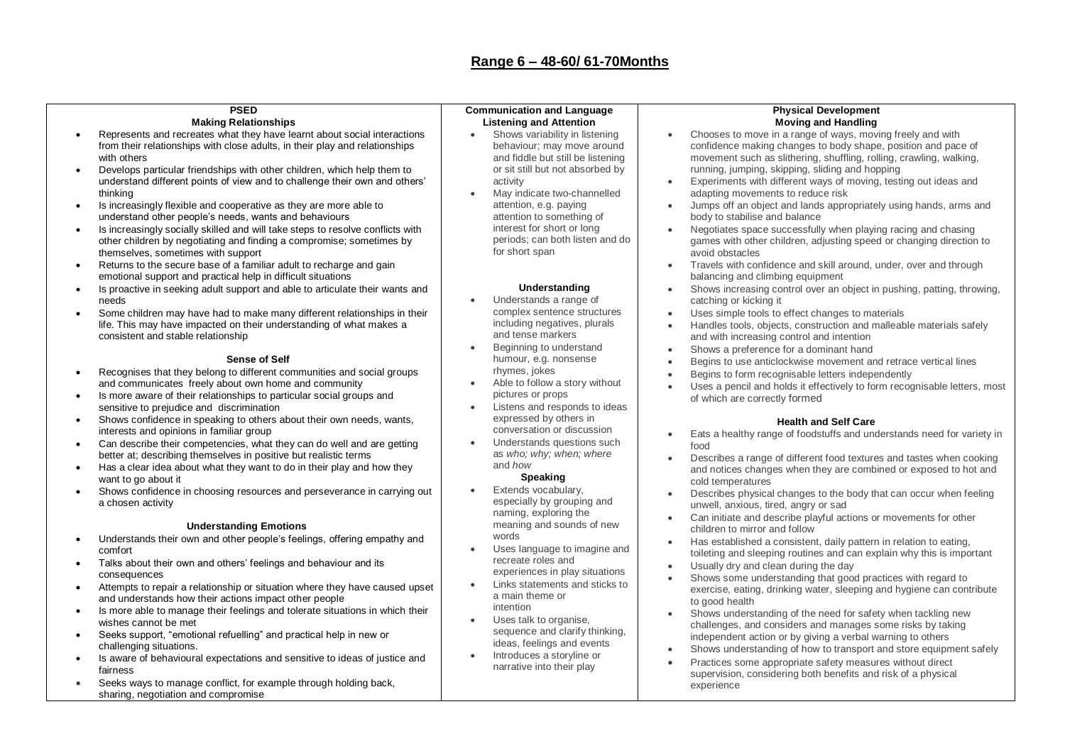#### **PSED Making Relationships**

- Represents and recreates what they have learnt about social interactions from their relationships with close adults, in their play and relationships with others
- Develops particular friendships with other children, which help them to understand different points of view and to challenge their own and others' thinking
- Is increasingly flexible and cooperative as they are more able to understand other people's needs, wants and behaviours
- Is increasingly socially skilled and will take steps to resolve conflicts with other children by negotiating and finding a compromise; sometimes by themselves, sometimes with support
- Returns to the secure base of a familiar adult to recharge and gain emotional support and practical help in difficult situations
- Is proactive in seeking adult support and able to articulate their wants and needs
- Some children may have had to make many different relationships in their life. This may have impacted on their understanding of what makes a consistent and stable relationship

### **Sense of Self**

- Recognises that they belong to different communities and social groups and communicates freely about own home and community
- Is more aware of their relationships to particular social groups and sensitive to prejudice and discrimination
- Shows confidence in speaking to others about their own needs, wants, interests and opinions in familiar group
- Can describe their competencies, what they can do well and are getting better at; describing themselves in positive but realistic terms
- Has a clear idea about what they want to do in their play and how they want to go about it
- Shows confidence in choosing resources and perseverance in carrying out a chosen activity

#### **Understanding Emotions**

- Understands their own and other people's feelings, offering empathy and comfort
- Talks about their own and others' feelings and behaviour and its consequences
- Attempts to repair a relationship or situation where they have caused upset and understands how their actions impact other people
- Is more able to manage their feelings and tolerate situations in which their wishes cannot be met
- Seeks support, "emotional refuelling" and practical help in new or challenging situations.
- Is aware of behavioural expectations and sensitive to ideas of justice and fairness
- Seeks ways to manage conflict, for example through holding back, sharing, negotiation and compromise

#### **Communication and Language Listening and Attention**

- Shows variability in listening behaviour; may move around and fiddle but still be listening or sit still but not absorbed by activity
- May indicate two-channelled attention, e.g. paying attention to something of interest for short or long periods; can both listen and do for short span

### **Understanding**

- Understands a range of complex sentence structures including negatives, plurals and tense markers
- Beginning to understand humour, e.g. nonsense rhymes, jokes
- Able to follow a story without pictures or props
- Listens and responds to ideas expressed by others in conversation or discussion
- Understands questions such as *who; why; when; where*  and *how*

# **Speaking**

- Extends vocabulary, especially by grouping and naming, exploring the meaning and sounds of new words
- Uses language to imagine and recreate roles and experiences in play situations
- Links statements and sticks to a main theme or intention
- Uses talk to organise, sequence and clarify thinking. ideas, feelings and events
- Introduces a storyline or narrative into their play

#### **Physical Development Moving and Handling**

- Chooses to move in a range of ways, moving freely and with confidence making changes to body shape, position and pace of movement such as slithering, shuffling, rolling, crawling, walking, running, jumping, skipping, sliding and hopping
- Experiments with different ways of moving, testing out ideas and adapting movements to reduce risk
- Jumps off an object and lands appropriately using hands, arms and body to stabilise and balance
- Negotiates space successfully when playing racing and chasing games with other children, adjusting speed or changing direction to avoid obstacles
- Travels with confidence and skill around, under, over and through balancing and climbing equipment
- Shows increasing control over an object in pushing, patting, throwing, catching or kicking it
- Uses simple tools to effect changes to materials
- Handles tools, objects, construction and malleable materials safely and with increasing control and intention
- Shows a preference for a dominant hand
- Begins to use anticlockwise movement and retrace vertical lines
- Begins to form recognisable letters independently
- Uses a pencil and holds it effectively to form recognisable letters, most of which are correctly formed

# **Health and Self Care**

- Eats a healthy range of foodstuffs and understands need for variety in food
- Describes a range of different food textures and tastes when cooking and notices changes when they are combined or exposed to hot and cold temperatures
- Describes physical changes to the body that can occur when feeling unwell, anxious, tired, angry or sad
- Can initiate and describe playful actions or movements for other children to mirror and follow
- Has established a consistent, daily pattern in relation to eating, toileting and sleeping routines and can explain why this is important
- Usually dry and clean during the day
- Shows some understanding that good practices with regard to exercise, eating, drinking water, sleeping and hygiene can contribute to good health
- Shows understanding of the need for safety when tackling new challenges, and considers and manages some risks by taking independent action or by giving a verbal warning to others
- Shows understanding of how to transport and store equipment safely
- Practices some appropriate safety measures without direct supervision, considering both benefits and risk of a physical experience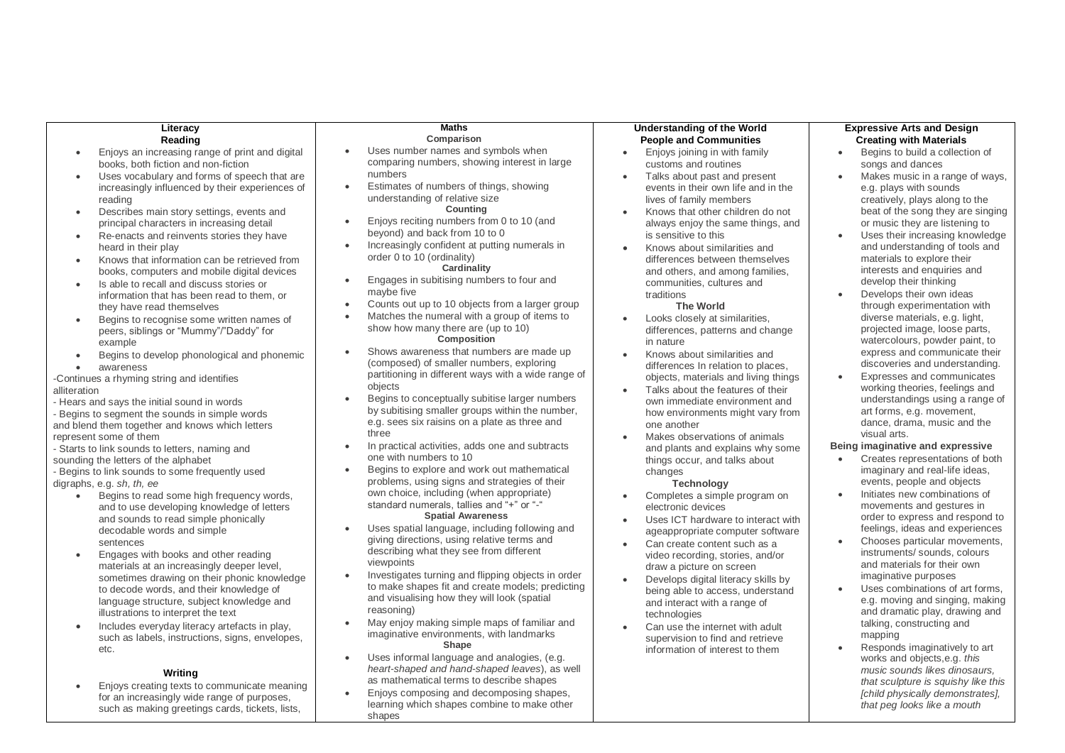learning which shapes combine to make other

*that peg looks like a mouth*

shapes

such as making greetings cards, tickets, lists,